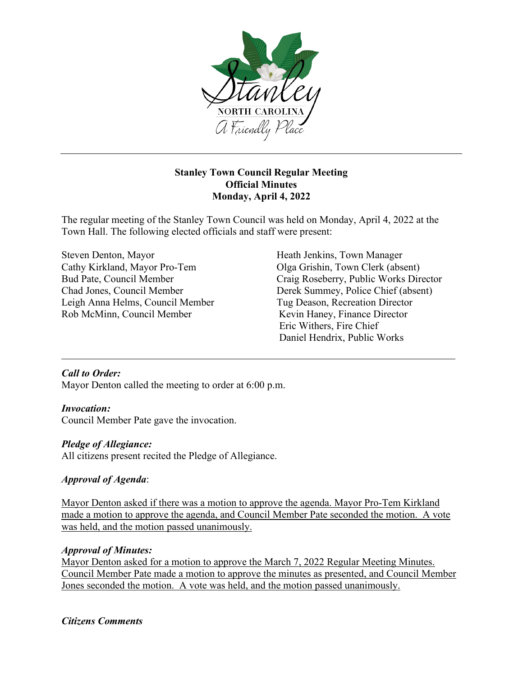

### **Stanley Town Council Regular Meeting Official Minutes Monday, April 4, 2022**

The regular meeting of the Stanley Town Council was held on Monday, April 4, 2022 at the Town Hall. The following elected officials and staff were present:

Steven Denton, Mayor Heath Jenkins, Town Manager Cathy Kirkland, Mayor Pro-Tem Olga Grishin, Town Clerk (absent) Leigh Anna Helms, Council Member Tug Deason, Recreation Director Rob McMinn, Council Member Kevin Haney, Finance Director

Bud Pate, Council Member Craig Roseberry, Public Works Director Chad Jones, Council Member Derek Summey, Police Chief (absent) Eric Withers, Fire Chief Daniel Hendrix, Public Works

### *Call to Order:*

Mayor Denton called the meeting to order at 6:00 p.m.

### *Invocation:*

Council Member Pate gave the invocation.

### *Pledge of Allegiance:*

All citizens present recited the Pledge of Allegiance.

# *Approval of Agenda*:

Mayor Denton asked if there was a motion to approve the agenda. Mayor Pro-Tem Kirkland made a motion to approve the agenda, and Council Member Pate seconded the motion. A vote was held, and the motion passed unanimously.

# *Approval of Minutes:*

Mayor Denton asked for a motion to approve the March 7, 2022 Regular Meeting Minutes. Council Member Pate made a motion to approve the minutes as presented, and Council Member Jones seconded the motion. A vote was held, and the motion passed unanimously.

### *Citizens Comments*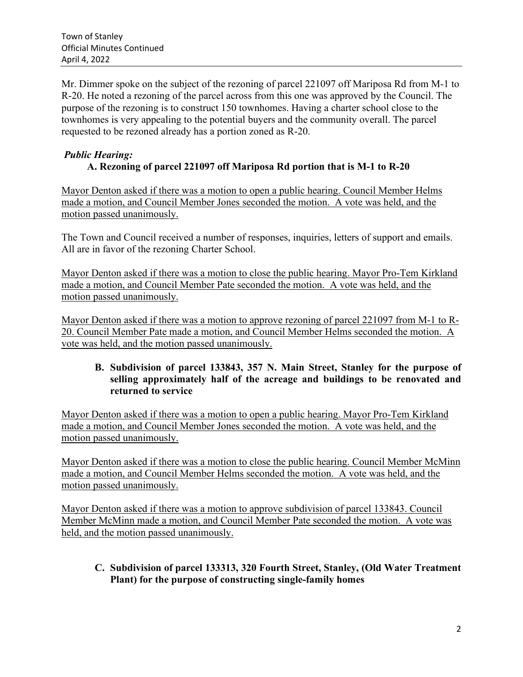Mr. Dimmer spoke on the subject of the rezoning of parcel 221097 off Mariposa Rd from M-1 to R-20. He noted a rezoning of the parcel across from this one was approved by the Council. The purpose of the rezoning is to construct 150 townhomes. Having a charter school close to the townhomes is very appealing to the potential buyers and the community overall. The parcel requested to be rezoned already has a portion zoned as R-20.

## *Public Hearing:*   **A. Rezoning of parcel 221097 off Mariposa Rd portion that is M-1 to R-20**

Mayor Denton asked if there was a motion to open a public hearing. Council Member Helms made a motion, and Council Member Jones seconded the motion. A vote was held, and the motion passed unanimously.

The Town and Council received a number of responses, inquiries, letters of support and emails. All are in favor of the rezoning Charter School.

Mayor Denton asked if there was a motion to close the public hearing. Mayor Pro-Tem Kirkland made a motion, and Council Member Pate seconded the motion. A vote was held, and the motion passed unanimously.

Mayor Denton asked if there was a motion to approve rezoning of parcel 221097 from M-1 to R-20. Council Member Pate made a motion, and Council Member Helms seconded the motion. A vote was held, and the motion passed unanimously.

## **B. Subdivision of parcel 133843, 357 N. Main Street, Stanley for the purpose of selling approximately half of the acreage and buildings to be renovated and returned to service**

Mayor Denton asked if there was a motion to open a public hearing. Mayor Pro-Tem Kirkland made a motion, and Council Member Jones seconded the motion. A vote was held, and the motion passed unanimously.

Mayor Denton asked if there was a motion to close the public hearing. Council Member McMinn made a motion, and Council Member Helms seconded the motion. A vote was held, and the motion passed unanimously.

Mayor Denton asked if there was a motion to approve subdivision of parcel 133843. Council Member McMinn made a motion, and Council Member Pate seconded the motion. A vote was held, and the motion passed unanimously.

## **C. Subdivision of parcel 133313, 320 Fourth Street, Stanley, (Old Water Treatment Plant) for the purpose of constructing single-family homes**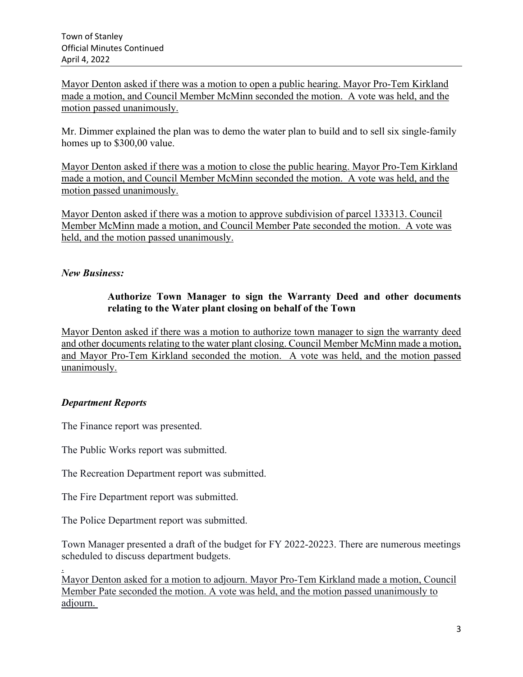Mayor Denton asked if there was a motion to open a public hearing. Mayor Pro-Tem Kirkland made a motion, and Council Member McMinn seconded the motion. A vote was held, and the motion passed unanimously.

Mr. Dimmer explained the plan was to demo the water plan to build and to sell six single-family homes up to \$300,00 value.

Mayor Denton asked if there was a motion to close the public hearing. Mayor Pro-Tem Kirkland made a motion, and Council Member McMinn seconded the motion. A vote was held, and the motion passed unanimously.

Mayor Denton asked if there was a motion to approve subdivision of parcel 133313. Council Member McMinn made a motion, and Council Member Pate seconded the motion. A vote was held, and the motion passed unanimously.

## *New Business:*

#### **Authorize Town Manager to sign the Warranty Deed and other documents relating to the Water plant closing on behalf of the Town**

Mayor Denton asked if there was a motion to authorize town manager to sign the warranty deed and other documents relating to the water plant closing. Council Member McMinn made a motion, and Mayor Pro-Tem Kirkland seconded the motion. A vote was held, and the motion passed unanimously.

### *Department Reports*

The Finance report was presented.

The Public Works report was submitted.

The Recreation Department report was submitted.

The Fire Department report was submitted.

The Police Department report was submitted.

Town Manager presented a draft of the budget for FY 2022-20223. There are numerous meetings scheduled to discuss department budgets.

. Mayor Denton asked for a motion to adjourn. Mayor Pro-Tem Kirkland made a motion, Council Member Pate seconded the motion. A vote was held, and the motion passed unanimously to adjourn.